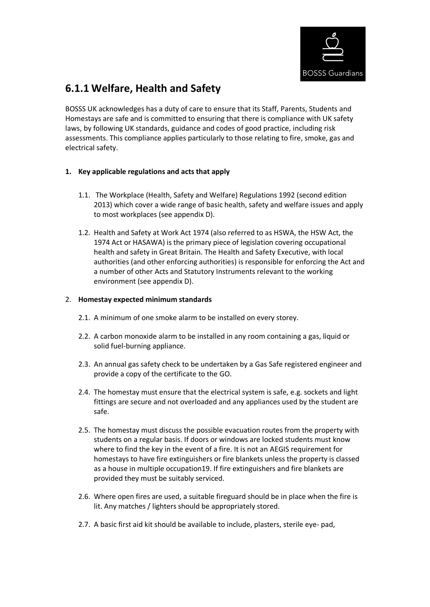

# **6.1.1 Welfare, Health and Safety**

BOSSS UK acknowledges has a duty of care to ensure that its Staff, Parents, Students and Homestays are safe and is committed to ensuring that there is compliance with UK safety laws, by following UK standards, guidance and codes of good practice, including risk assessments. This compliance applies particularly to those relating to fire, smoke, gas and electrical safety.

## **1. Key applicable regulations and acts that apply**

- 1.1. The Workplace (Health, Safety and Welfare) Regulations 1992 (second edition 2013) which cover a wide range of basic health, safety and welfare issues and apply to most workplaces (see appendix D).
- 1.2. Health and Safety at Work Act 1974 (also referred to as HSWA, the HSW Act, the 1974 Act or HASAWA) is the primary piece of legislation covering occupational health and safety in Great Britain. The Health and Safety Executive, with local authorities (and other enforcing authorities) is responsible for enforcing the Act and a number of other Acts and Statutory Instruments relevant to the working environment (see appendix D).

#### 2. **Homestay expected minimum standards**

- 2.1. A minimum of one smoke alarm to be installed on every storey.
- 2.2. A carbon monoxide alarm to be installed in any room containing a gas, liquid or solid fuel-burning appliance.
- 2.3. An annual gas safety check to be undertaken by a Gas Safe registered engineer and provide a copy of the certificate to the GO.
- 2.4. The homestay must ensure that the electrical system is safe, e.g. sockets and light fittings are secure and not overloaded and any appliances used by the student are safe.
- 2.5. The homestay must discuss the possible evacuation routes from the property with students on a regular basis. If doors or windows are locked students must know where to find the key in the event of a fire. It is not an AEGIS requirement for homestays to have fire extinguishers or fire blankets unless the property is classed as a house in multiple occupation19. If fire extinguishers and fire blankets are provided they must be suitably serviced.
- 2.6. Where open fires are used, a suitable fireguard should be in place when the fire is lit. Any matches / lighters should be appropriately stored.
- 2.7. A basic first aid kit should be available to include, plasters, sterile eye- pad,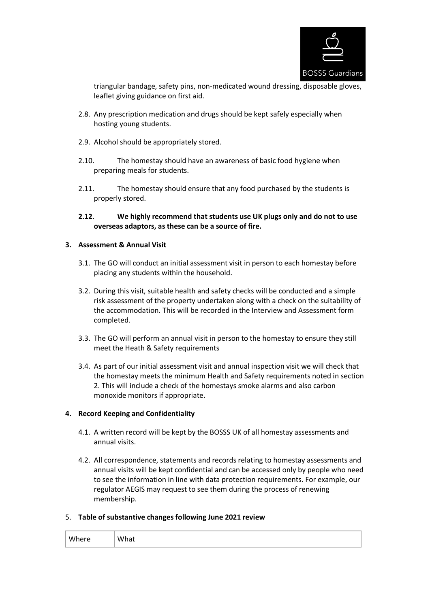

triangular bandage, safety pins, non-medicated wound dressing, disposable gloves, leaflet giving guidance on first aid.

- 2.8. Any prescription medication and drugs should be kept safely especially when hosting young students.
- 2.9. Alcohol should be appropriately stored.
- 2.10. The homestay should have an awareness of basic food hygiene when preparing meals for students.
- 2.11. The homestay should ensure that any food purchased by the students is properly stored.
- **2.12. We highly recommend that students use UK plugs only and do not to use overseas adaptors, as these can be a source of fire.**

#### **3. Assessment & Annual Visit**

- 3.1. The GO will conduct an initial assessment visit in person to each homestay before placing any students within the household.
- 3.2. During this visit, suitable health and safety checks will be conducted and a simple risk assessment of the property undertaken along with a check on the suitability of the accommodation. This will be recorded in the Interview and Assessment form completed.
- 3.3. The GO will perform an annual visit in person to the homestay to ensure they still meet the Heath & Safety requirements
- 3.4. As part of our initial assessment visit and annual inspection visit we will check that the homestay meets the minimum Health and Safety requirements noted in section 2. This will include a check of the homestays smoke alarms and also carbon monoxide monitors if appropriate.

### **4. Record Keeping and Confidentiality**

- 4.1. A written record will be kept by the BOSSS UK of all homestay assessments and annual visits.
- 4.2. All correspondence, statements and records relating to homestay assessments and annual visits will be kept confidential and can be accessed only by people who need to see the information in line with data protection requirements. For example, our regulator AEGIS may request to see them during the process of renewing membership.

#### 5. **Table of substantive changes following June 2021 review**

| Where | What |
|-------|------|
|-------|------|